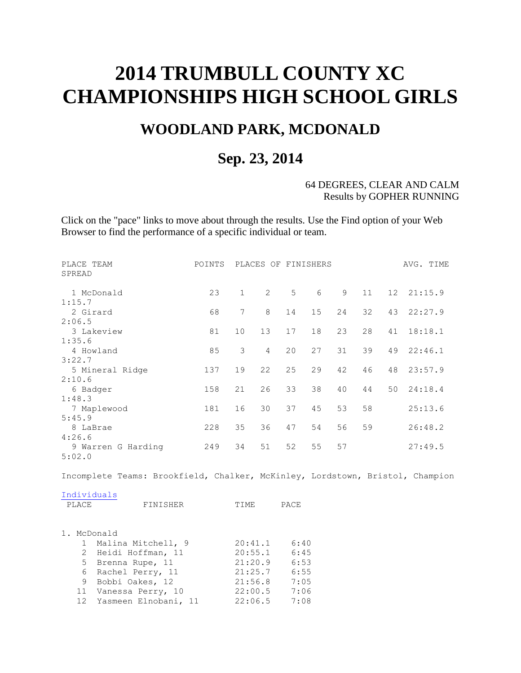# **2014 TRUMBULL COUNTY XC CHAMPIONSHIPS HIGH SCHOOL GIRLS**

## **WOODLAND PARK, MCDONALD**

### **Sep. 23, 2014**

#### 64 DEGREES, CLEAR AND CALM Results by GOPHER RUNNING

Click on the "pace" links to move about through the results. Use the Find option of your Web Browser to find the performance of a specific individual or team.

| PLACE TEAM<br>SPREAD                                                          | POINTS |              |                | PLACES OF FINISHERS |    |    |    |                 | AVG. TIME |
|-------------------------------------------------------------------------------|--------|--------------|----------------|---------------------|----|----|----|-----------------|-----------|
| 1 McDonald                                                                    | 23     | $\mathbf{1}$ | $\overline{2}$ | 5                   | 6  | 9  | 11 | 12 <sup>°</sup> | 21:15.9   |
| 1:15.7                                                                        |        |              |                |                     |    |    |    |                 |           |
| 2 Girard                                                                      | 68     | 7            | 8              | 14                  | 15 | 24 | 32 | 43              | 22:27.9   |
| 2:06.5                                                                        |        |              |                |                     |    |    |    |                 |           |
| 3 Lakeview                                                                    | 81     | 10           | 13             | 17                  | 18 | 23 | 28 | 41              | 18:18.1   |
| 1:35.6                                                                        |        |              |                |                     |    |    |    |                 |           |
| 4 Howland                                                                     | 85     | 3            | $\overline{4}$ | 20                  | 27 | 31 | 39 | 49              | 22:46.1   |
| 3:22.7                                                                        |        |              |                |                     |    |    |    |                 |           |
| 5 Mineral Ridge                                                               | 137    | 19           | 22             | 25                  | 29 | 42 | 46 | 48              | 23:57.9   |
| 2:10.6                                                                        |        |              |                |                     |    |    |    |                 |           |
| 6 Badger                                                                      | 158    | 21           | 26             | 33                  | 38 | 40 | 44 | 50              | 24:18.4   |
| 1:48.3                                                                        |        |              |                |                     |    |    |    |                 |           |
| 7 Maplewood                                                                   | 181    | 16           | 30             | 37                  | 45 | 53 | 58 |                 | 25:13.6   |
| 5:45.9                                                                        |        |              |                |                     |    |    |    |                 |           |
| 8 LaBrae                                                                      | 228    | 35           | 36             | 47                  | 54 | 56 | 59 |                 | 26:48.2   |
| 4:26.6                                                                        |        |              |                |                     |    |    |    |                 |           |
| 9 Warren G Harding                                                            | 249    | 34           | 51             | 52                  | 55 | 57 |    |                 | 27:49.5   |
| 5:02.0                                                                        |        |              |                |                     |    |    |    |                 |           |
| Incomplete Teams: Brookfield, Chalker, McKinley, Lordstown, Bristol, Champion |        |              |                |                     |    |    |    |                 |           |

| Individuals |          |       |      |
|-------------|----------|-------|------|
| PLACE.      | FINISHER | TTME. | PACE |

|  | 1. McDonald             |         |      |
|--|-------------------------|---------|------|
|  | 1 Malina Mitchell, 9    | 20:41.1 | 6:40 |
|  | 2 Heidi Hoffman, 11     | 20:55.1 | 6:45 |
|  | 5 Brenna Rupe, 11       | 21:20.9 | 6:53 |
|  | 6 Rachel Perry, 11      | 21:25.7 | 6:55 |
|  | 9 Bobbi Oakes, 12       | 21:56.8 | 7:05 |
|  | 11 Vanessa Perry, 10    | 22:00.5 | 7:06 |
|  | 12 Yasmeen Elnobani, 11 | 22:06.5 | 7:08 |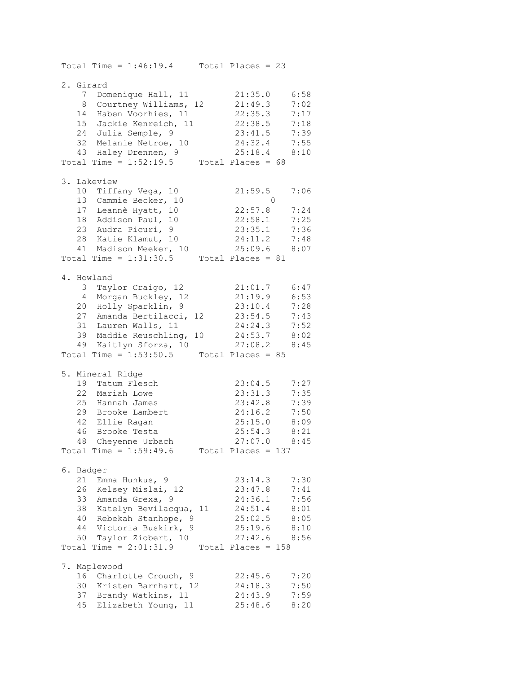Total Time =  $1:46:19.4$  Total Places = 23 2. Girard 7 Domenique Hall, 11 21:35.0 6:58 8 Courtney Williams, 12 21:49.3 7:02 14 Haben Voorhies, 11 22:35.3 7:17 15 Jackie Kenreich, 11 22:38.5 7:18 24 Julia Semple, 9 23:41.5 7:39 32 Melanie Netroe, 10 24:32.4 7:55 43 Haley Drennen, 9 25:18.4 8:10 Total Time =  $1:52:19.5$  Total Places =  $68$ 3. Lakeview 10 Tiffany Vega, 10 21:59.5 7:06 13 Cammie Becker, 10 0 17 Leannè Hyatt, 10 22:57.8 7:24 18 Addison Paul, 10 22:58.1 7:25 23 Audra Picuri, 9 23:35.1 7:36 28 Katie Klamut, 10 24:11.2 7:48 41 Madison Meeker, 10 25:09.6 8:07 Total Time =  $1:31:30.5$  Total Places = 81 4. Howland 3 Taylor Craigo, 12 21:01.7 6:47 4 Morgan Buckley, 12 21:19.9 6:53 20 Holly Sparklin, 9 23:10.4 7:28 27 Amanda Bertilacci, 12 23:54.5 7:43 31 Lauren Walls, 11 24:24.3 7:52 39 Maddie Reuschling, 10 24:53.7 8:02 49 Kaitlyn Sforza, 10 27:08.2 8:45 Total Time =  $1:53:50.5$  Total Places =  $85$ 5. Mineral Ridge 19 Tatum Flesch 23:04.5 7:27 22 Mariah Lowe 23:31.3 7:35 25 Hannah James 23:42.8 7:39 29 Brooke Lambert 24:16.2 7:50 42 Ellie Ragan 25:15.0 8:09 46 Brooke Testa 25:54.3 8:21 48 Cheyenne Urbach 27:07.0 8:45 Total Time =  $1:59:49.6$  Total Places = 137 6. Badger 21 Emma Hunkus, 9 23:14.3 7:30 26 Kelsey Mislai, 12 23:47.8 7:41 33 Amanda Grexa, 9 24:36.1 7:56 38 Katelyn Bevilacqua, 11 24:51.4 8:01 40 Rebekah Stanhope, 9 25:02.5 8:05 44 Victoria Buskirk, 9 25:19.6 8:10 50 Taylor Ziobert, 10 27:42.6 8:56 Total Time =  $2:01:31.9$  Total Places = 158 7. Maplewood 16 Charlotte Crouch, 9 22:45.6 7:20 30 Kristen Barnhart, 12 24:18.3 7:50 37 Brandy Watkins, 11 24:43.9 7:59 45 Elizabeth Young, 11 25:48.6 8:20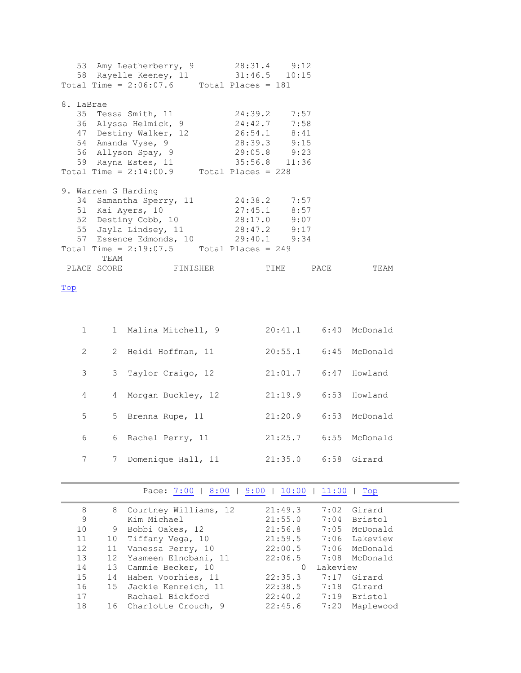| 53 Amy Leatherberry, 9 28:31.4 9:12<br>58 Rayelle Keeney, 11 31:46.5 10:15 |  |  |      |
|----------------------------------------------------------------------------|--|--|------|
| Total Time = $2:06:07.6$ Total Places = 181                                |  |  |      |
| 8. LaBrae<br>35 Tessa Smith, 11 24:39.2 7:57                               |  |  |      |
| 36 Alyssa Helmick, 9 24:42.7 7:58                                          |  |  |      |
| 47 Destiny Walker, 12 26:54.1 8:41                                         |  |  |      |
| 54 Amanda Vyse, 9 28:39.3 9:15                                             |  |  |      |
| 56 Allyson Spay, 9 29:05.8 9:23                                            |  |  |      |
| 59 Rayna Estes, 11 35:56.8 11:36                                           |  |  |      |
| Total Time = $2:14:00.9$ Total Places = 228                                |  |  |      |
| 9. Warren G Harding                                                        |  |  |      |
| 34 Samantha Sperry, 11 24:38.2 7:57                                        |  |  |      |
| 51 Kai Ayers, 10 27:45.1 8:57                                              |  |  |      |
| 52 Destiny Cobb, 10 28:17.0 9:07                                           |  |  |      |
| 55 Jayla Lindsey, 11 28:47.2 9:17                                          |  |  |      |
| 57 Essence Edmonds, 10 29:40.1 9:34                                        |  |  |      |
| Total Time = $2:19:07.5$ Total Places = 249<br>TEAM                        |  |  |      |
|                                                                            |  |  | TEAM |

<span id="page-2-0"></span>Top

| $\mathbf{1}$ |                 | 1 Malina Mitchell, 9 | 20:41.1              | 6:40 McDonald |
|--------------|-----------------|----------------------|----------------------|---------------|
| 2            |                 | 2 Heidi Hoffman, 11  | 20:55.1              | 6:45 McDonald |
| 3            |                 | 3 Taylor Craigo, 12  | 21:01.7 6:47 Howland |               |
| 4            | 4               | Morgan Buckley, 12   | 21:19.9              | 6:53 Howland  |
| 5            | 5               | Brenna Rupe, 11      | 21:20.9              | 6:53 McDonald |
| 6            |                 | 6 Rachel Perry, 11   | 21:25.7              | 6:55 McDonald |
| 7            | $7\phantom{.0}$ | Domenique Hall, 11   | 21:35.0              | 6:58 Girard   |

#### Pace:  $7:00$  | [8:00](#page-3-0) | [9:00](#page-4-0) | [10:00](#page-4-1) | [11:00](#page-4-2) | Top

<span id="page-2-1"></span>

| 8                 | 8  | Courtney Williams, 12  | 21:49.3              |          | 7:02 Girard   |
|-------------------|----|------------------------|----------------------|----------|---------------|
| 9                 |    | Kim Michael            | 21:55.0              |          | 7:04 Bristol  |
| 10                | 9  | Bobbi Oakes, 12        | 21:56.8              |          | 7:05 McDonald |
| 11                | 10 | Tiffany Vega, 10       | 21:59.5              |          | 7:06 Lakeview |
| $12 \overline{ }$ | 11 | Vanessa Perry, 10      | 22:00.5              |          | 7:06 McDonald |
| 13                | 12 | Yasmeen Elnobani, 11   | 22:06.5              |          | 7:08 McDonald |
| 14                |    | 13 Cammie Becker, 10   | $\Omega$             | Lakeview |               |
| 15                | 14 | Haben Voorhies, 11     | 22:35.3              |          | 7:17 Girard   |
| 16                |    | 15 Jackie Kenreich, 11 | 22:38.5 7:18 Girard  |          |               |
| 17                |    | Rachael Bickford       | 22:40.2 7:19 Bristol |          |               |
| 18                |    | 16 Charlotte Crouch, 9 | 22:45.6              | 7:20     | Maplewood     |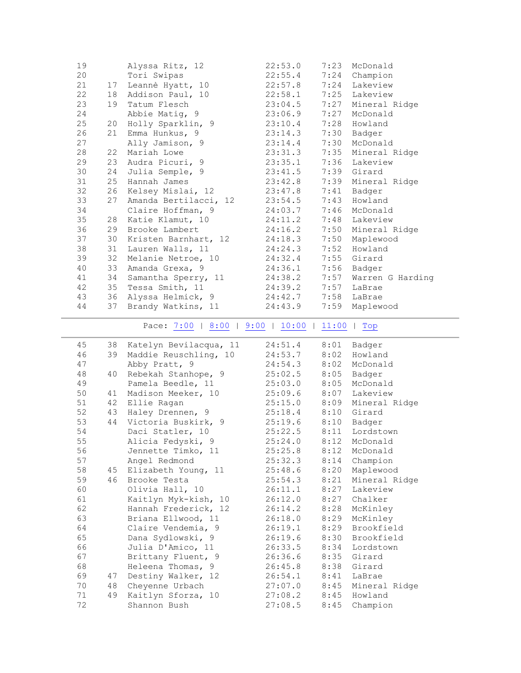<span id="page-3-0"></span>

| 19 |    | Alyssa Ritz, 12                          | 22:53.0 | 7:23 | McDonald           |
|----|----|------------------------------------------|---------|------|--------------------|
| 20 |    | Tori Swipas                              | 22:55.4 |      | 7:24 Champion      |
| 21 |    | 17 Leannè Hyatt, 10                      | 22:57.8 |      | 7:24 Lakeview      |
| 22 |    | 18 Addison Paul, 10                      | 22:58.1 |      | 7:25 Lakeview      |
| 23 | 19 | Tatum Flesch                             | 23:04.5 | 7:27 | Mineral Ridge      |
| 24 |    | Abbie Matig, 9                           | 23:06.9 | 7:27 | McDonald           |
| 25 | 20 | Holly Sparklin, 9                        | 23:10.4 |      | 7:28 Howland       |
| 26 | 21 | Emma Hunkus, 9                           | 23:14.3 | 7:30 | Badger             |
| 27 |    | Ally Jamison, 9                          | 23:14.4 | 7:30 | McDonald           |
| 28 | 22 | Mariah Lowe                              | 23:31.3 |      | 7:35 Mineral Ridge |
| 29 |    | 23 Audra Picuri, 9                       |         |      | 7:36 Lakeview      |
|    |    |                                          | 23:35.1 |      |                    |
| 30 | 24 | Julia Semple, 9                          | 23:41.5 |      | 7:39 Girard        |
| 31 |    | 25 Hannah James                          | 23:42.8 |      | 7:39 Mineral Ridge |
| 32 | 26 | Kelsey Mislai, 12                        | 23:47.8 | 7:41 | Badger             |
| 33 | 27 | Amanda Bertilacci, 12                    | 23:54.5 | 7:43 | Howland            |
| 34 |    | Claire Hoffman, 9                        | 24:03.7 |      | 7:46 McDonald      |
| 35 | 28 | Katie Klamut, 10                         | 24:11.2 | 7:48 | Lakeview           |
| 36 | 29 | Brooke Lambert                           | 24:16.2 |      | 7:50 Mineral Ridge |
| 37 | 30 | Kristen Barnhart, 12                     | 24:18.3 |      | 7:50 Maplewood     |
| 38 |    | 31 Lauren Walls, 11                      | 24:24.3 |      | 7:52 Howland       |
| 39 | 32 | Melanie Netroe, 10                       | 24:32.4 |      | 7:55 Girard        |
| 40 | 33 | Amanda Grexa, 9                          | 24:36.1 |      | 7:56 Badger        |
| 41 | 34 | Samantha Sperry, 11                      | 24:38.2 | 7:57 | Warren G Harding   |
| 42 |    | 35 Tessa Smith, 11                       | 24:39.2 | 7:57 | LaBrae             |
| 43 |    | 36 Alyssa Helmick, 9                     | 24:42.7 | 7:58 | LaBrae             |
| 44 | 37 | Brandy Watkins, 11                       | 24:43.9 | 7:59 | Maplewood          |
|    |    | Pace: 7:00   8:00   9:00   10:00   11:00 |         |      | Top                |
|    |    |                                          |         |      |                    |
|    |    |                                          |         |      |                    |
| 45 |    | 38 Katelyn Bevilacqua, 11                | 24:51.4 |      | 8:01 Badger        |
| 46 |    | 39 Maddie Reuschling, 10                 | 24:53.7 |      | 8:02 Howland       |
| 47 |    | Abby Pratt, 9                            | 24:54.3 |      | 8:02 McDonald      |
| 48 | 40 | Rebekah Stanhope, 9                      | 25:02.5 | 8:05 | Badger             |
| 49 |    | Pamela Beedle, 11                        | 25:03.0 | 8:05 | McDonald           |
| 50 | 41 | Madison Meeker, 10                       | 25:09.6 | 8:07 | Lakeview           |
| 51 |    | 42 Ellie Ragan                           | 25:15.0 |      | 8:09 Mineral Ridge |
| 52 |    | 43 Haley Drennen, 9                      | 25:18.4 |      | 8:10 Girard        |
| 53 |    | 44 Victoria Buskirk, 9                   | 25:19.6 |      | 8:10 Badger        |
| 54 |    |                                          | 25:22.5 | 8:11 | Lordstown          |
|    |    | Daci Statler, 10                         |         |      |                    |
| 55 |    | Alicia Fedyski, 9                        | 25:24.0 |      | 8:12 McDonald      |
| 56 |    | Jennette Timko, 11                       | 25:25.8 | 8:12 | McDonald           |
| 57 |    | Angel Redmond                            | 25:32.3 | 8:14 | Champion           |
| 58 | 45 | Elizabeth Young, 11                      | 25:48.6 | 8:20 | Maplewood          |
| 59 | 46 | Brooke Testa                             | 25:54.3 | 8:21 | Mineral Ridge      |
| 60 |    | Olivia Hall, 10                          | 26:11.1 | 8:27 | Lakeview           |
| 61 |    | Kaitlyn Myk-kish, 10                     | 26:12.0 | 8:27 | Chalker            |
| 62 |    | Hannah Frederick, 12                     | 26:14.2 | 8:28 | McKinley           |
| 63 |    | Briana Ellwood, 11                       | 26:18.0 | 8:29 | McKinley           |
| 64 |    | Claire Vendemia, 9                       | 26:19.1 | 8:29 | Brookfield         |
| 65 |    | Dana Sydlowski, 9                        | 26:19.6 | 8:30 | Brookfield         |
| 66 |    | Julia D'Amico, 11                        | 26:33.5 | 8:34 | Lordstown          |
| 67 |    | Brittany Fluent, 9                       | 26:36.6 | 8:35 | Girard             |
| 68 |    | Heleena Thomas, 9                        | 26:45.8 | 8:38 | Girard             |
| 69 | 47 | Destiny Walker, 12                       | 26:54.1 | 8:41 | LaBrae             |
| 70 | 48 | Cheyenne Urbach                          | 27:07.0 | 8:45 | Mineral Ridge      |
| 71 | 49 | Kaitlyn Sforza, 10                       | 27:08.2 | 8:45 | Howland            |
| 72 |    | Shannon Bush                             | 27:08.5 | 8:45 | Champion           |